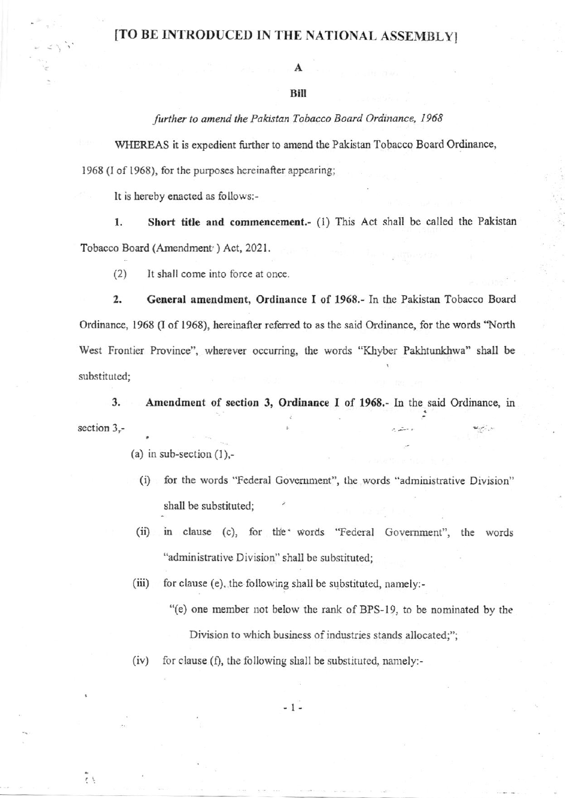### [TO BE INTRODUCED IN THE NATIONAL ASSEMBLY]

# A

## Bill

further to amend the Pakistan Tobacco Board Ordinance, 1968

WHEREAS it is expedient further to amend the Pakistan Tobacco Board Ordinance, 1968 (I of 1968), for the purposes hereinafter appearing;

It is hereby enacted as follows:-

1. Short title and commencement.- (1) This Act shall be called the Pakistan Tobacco Board (Amendment<sup>'</sup>) Act, 2021.

 $(2)$ It shall come into force at once.

2. General amendment, Ordinance I of 1968.- In the Pakistan Tobacco Board Ordinance, 1968 (I of 1968), hereinafter referred to as the said Ordinance, for the words "North West Frontier Province", wherever occurring, the words "Khyber Pakhtunkhwa" shall be substituted;

3. Amendment of section 3, Ordinance I of 1968.- In the said Ordinance, in section  $3$ .

(a) in sub-section  $(1)$ ,-

- (i) for the words "Federal Government", the words "administrative Division" shall be substituted;
- (ii) in clause (c), for the words "Federal Government", the words "administrative Division" shall be substituted;

 $(iii)$ for clause (e), the following shall be substituted, namely:-

- "(e) one member not below the rank of BPS-19, to be nominated by the Division to which business of industries stands allocated;";
- $(iv)$ for clause (f), the following shall be substituted, namely:-

 $-1-$ 

 $t\,$   $\,$   $\,$   $\,$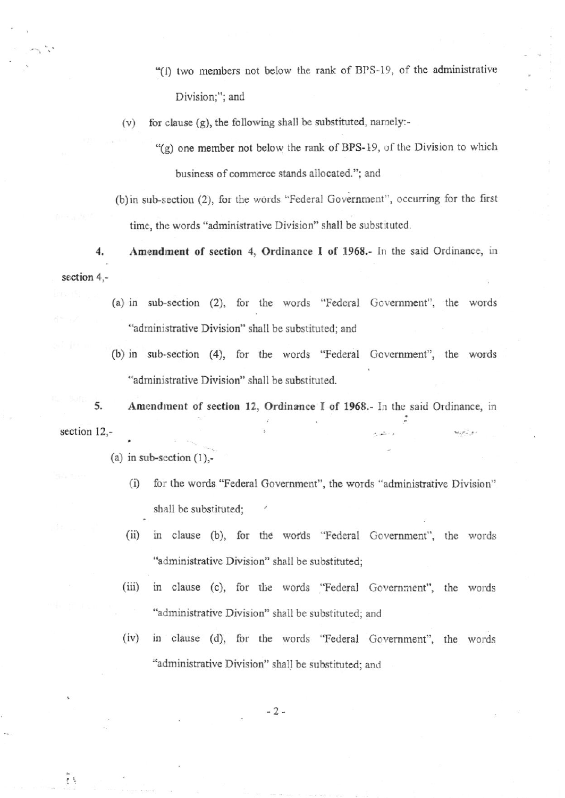" $(f)$  two members not below the rank of BPS-19, of the administrative Division;"; and

(v) for clause (g), the following shall be substituted, namely:-

" $(g)$  one member not below the rank of BPS-19, of the Division to which business of commerce stands allocated."; and

(b) in sub-section (2), for the words "Federal Government", occurring for the first time, the words "administrative Division" shall be substituted.

4 Amendment of section 4, Ordinance I of 1968.- In the said Ordinance, in section 4.-

- (a) in sub-section (2), for the words "Federal Government", the words "administrative Division" shall be substituted; and
- (b) in sub-section (4), for the words "Federal Government", the words "administrative Division" shall be substituted.

5. Amendment of section 12, Ordinance I of 1968.- In the said Ordinance, in section 12,-

(a) in sub-section  $(1)$ ,-

 $\epsilon$ 

- (i) for the words "Federal Government", the words "administrative Division" shall be substituted;
- (ii) in clause (b), for the words "Federal Government", the words "administrative Division" shall be substituted;
- (iii) in clause (c), for the words "Federal Government", the words "adninistrative Divisior" shall be substituted; and
- (iv) in clause (d), for the words "Federal Government", the words "administrative Division" shall be substituted; and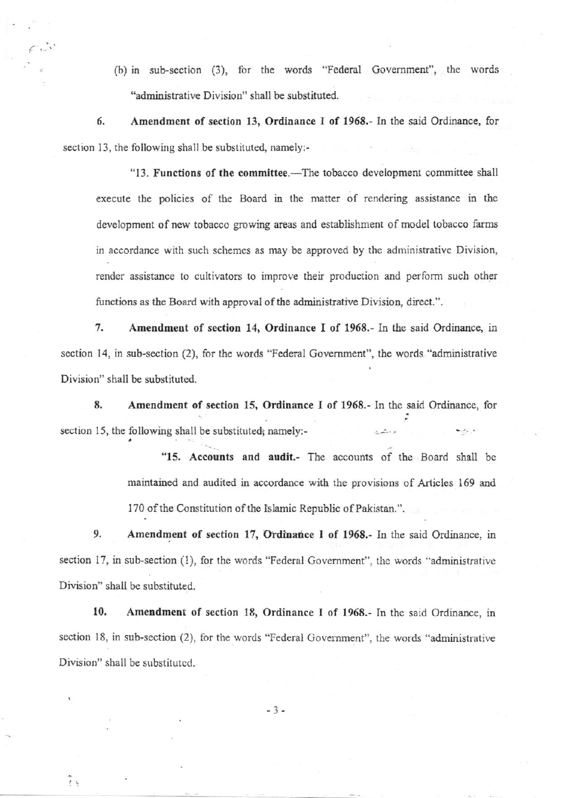(b) in sub-section (3), for the words "Federal Government", the words "administrative Division" shall be substituted.

6. Amendment of section 13, Ordinance I of 1968.- In the said Ordinance, for section 13, the following shall be substituted, namely:-

"13. Functions of the committee.-The tobacco development committee shall execute the policies of the Board in the matter of rendering assistance in the development of new tobacco growing areas and establishment of model tobacco farms in accordance with such schemes as may be approved by the administrative Division, render assistance to cultivators to improve their production and perform such other functions as the Board with approval of the administrative Division, direct.".

7. Amendment of section 14, Ordinance I of 1968.- In the said Ordinance, in scction 14, in sub-section (2), for the words "Federal Govemment", the words "administrative DiYision" shall be substituted.

8. Amendment of section 15, Ordinance I of 1968.- In the said Ordinance, for section 15, the following shall be substituted; namely:-

> "15. Accounts and audit.- The accounts of the Board shall be maintained and audited in accordance with the provisions of Articles 169 and 170 of the Constitution of the Islamic Republic of Pakistan.".

9. Amendment of section 17, Ordinance I of 1968.- In the said Ordinance, in section 17, in sub-section (1), for the words "Federal Government", the words "administrative Division" shalt be substituted.

10. Amendment of section 18, Ordinance I of 1968.- In the said Ordinance, in section 18, in sub-section (2), for the words "Federal Government", the words "administrative Division" shall be substitutcd.

 $-3-$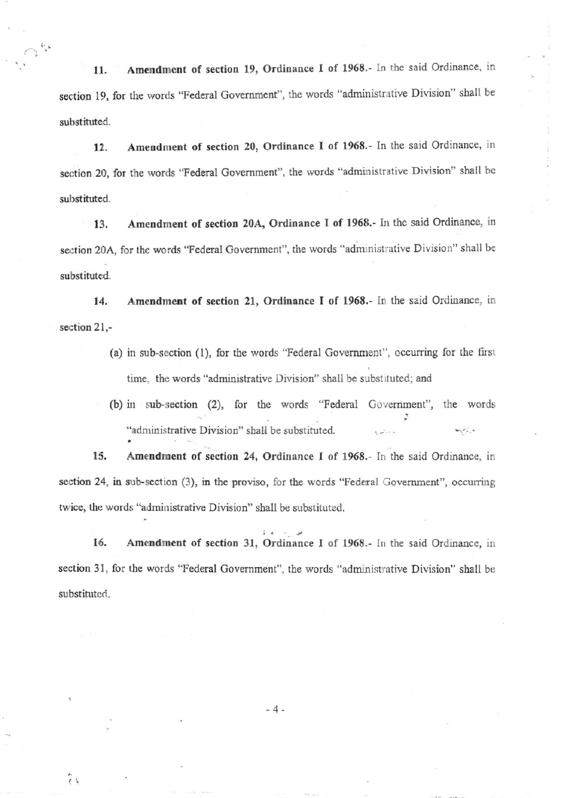11. Amendment of section 19, Ordinance I of 1968.- In the said Ordinance, in section 19, for the words "Federal Government", the words "administrative Division" shall be substituted.

12. Amendment of section 20, Ordinance I of 1968.- In the said Ordinance, in section 20, for the words "Federal Government", the words "administrative Division" shall be substituted.

13. Amendment of section 20A, Ordinance I of 1968.- In the said Ordinance, in section 20A, for the words "Federal Government", the words "administrative Division" shall be substituted.

14. Amendment of section 21, Ordinance I of 1968.- In the said Ordinance, in section 21,-

- (a) in sub-section (1), for the words "Federal Government", occurring for the first time. the words "administrative Division" shall be substituted; and
- (b) in sub-section (2), for tbe words "Federal Govenrment", the words "administrative Division" shall be substituted.

15. Amendment of section 24, Ordinance I of 1968.- In the said Ordinance, in section 24, in sub-section  $(3)$ , in the proviso, for the words "Federal Government", occurring twice, the words "administrative Division" shall be substituted.

16. Amendment of section 31, Ordinance I of 1968.- In the said Ordinance, in section 31, for the words "Federal Government", the words "administrative Division" shall be substituted.

 $\frac{1}{2}$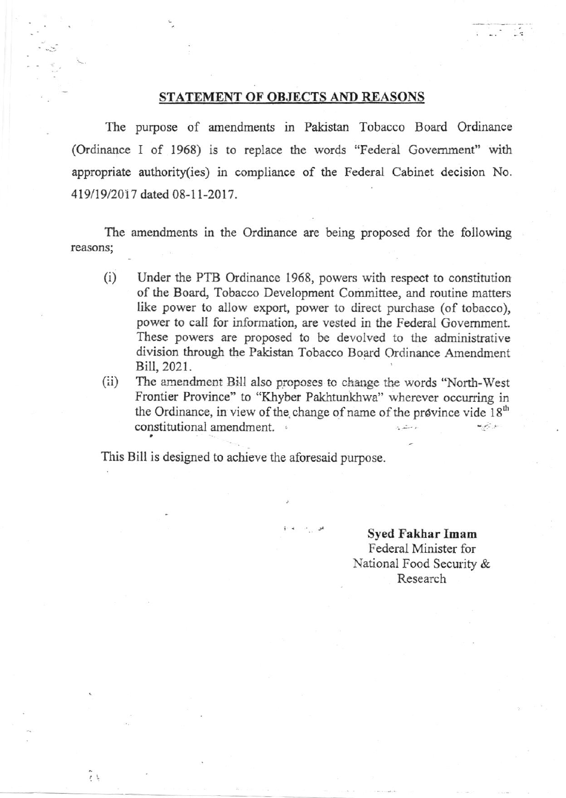### STATEMENT OF OBJECTS AND REASONS

The purpose of amendments in Pakistan Tobacco Board Ordinance (Ordinance I of 1968) is to replace the words "Federal Govemment" with appropriate authority(ies) in compliance of the Federal Cabinet decision No. 419/19/2017 dated 08-11-2017.

The amendments in the Ordinance are being proposed for the following reasons;

- (i) Under the PTB Ordinance 1968, powers with respect to constitution of the Board, Tobacco Development Committee, and routine matters like power to allow export, power to direct purchase (of tobacco), power to call for information, are vested in the Federal Govemment. These powers are proposed to be devolved to the administrative division through the Pakistan Tobacco Board Ordinance Amendment Bill, 2021.
- (ii) The amendment Bill also proposes to change the words "North-West" Frontier Province" to "Khyber Pakhtunkhwa" wherever occurring in the Ordinance, in view of the change of name of the province vide  $18<sup>th</sup>$ constitutional amendment. ار مشهره ستغريضي فينجر بمعلا

اس<br>بران په ا

This Bill is designed to achieve the aforesaid purpose.

Syed Fakhar Imam Federal Minister for National Food Security & Research

 $\tilde{r}$